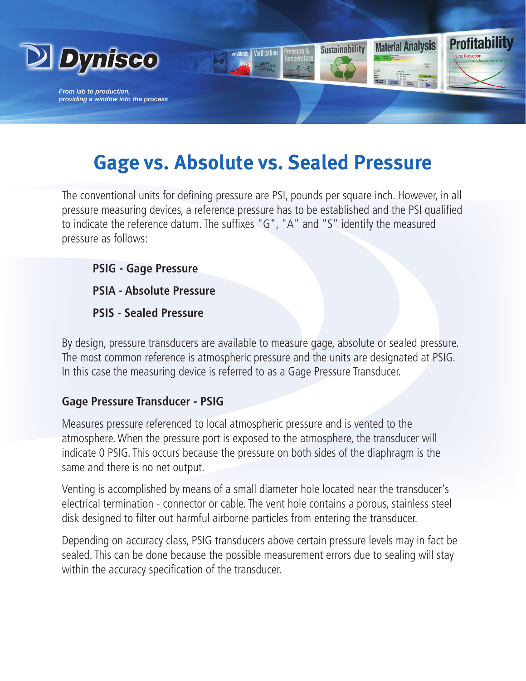

# **Gage vs. Absolute vs. Sealed Pressure**

The conventional units for defining pressure are PSI, pounds per square inch. However, in all pressure measuring devices, a reference pressure has to be established and the PSI qualified to indicate the reference datum. The suffixes "G", "A" and "S" identify the measured pressure as follows:

**PSIG - Gage Pressure**

**PSIA - Absolute Pressure**

**PSIS - Sealed Pressure**

By design, pressure transducers are available to measure gage, absolute or sealed pressure. The most common reference is atmospheric pressure and the units are designated at PSIG. In this case the measuring device is referred to as a Gage Pressure Transducer.

## **Gage Pressure Transducer - PSIG**

Measures pressure referenced to local atmospheric pressure and is vented to the atmosphere. When the pressure port is exposed to the atmosphere, the transducer will indicate 0 PSIG. This occurs because the pressure on both sides of the diaphragm is the same and there is no net output.

Venting is accomplished by means of a small diameter hole located near the transducer's electrical termination - connector or cable. The vent hole contains a porous, stainless steel disk designed to filter out harmful airborne particles from entering the transducer.

Depending on accuracy class, PSIG transducers above certain pressure levels may in fact be sealed. This can be done because the possible measurement errors due to sealing will stay within the accuracy specification of the transducer.